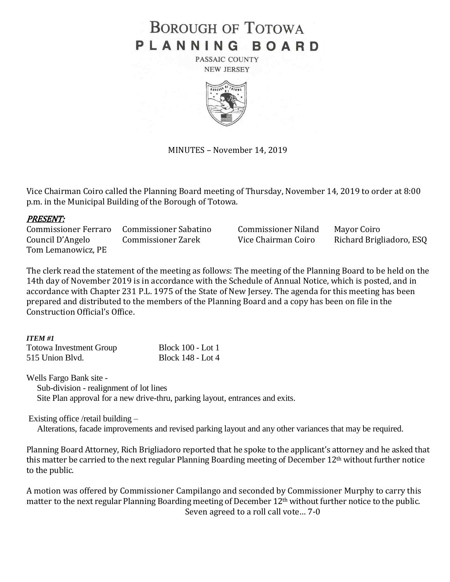# **BOROUGH OF TOTOWA** PLANNING BOARD

PASSAIC COUNTY **NEW JERSEY** 



MINUTES – November 14, 2019

Vice Chairman Coiro called the Planning Board meeting of Thursday, November 14, 2019 to order at 8:00 p.m. in the Municipal Building of the Borough of Totowa.

#### PRESENT:

Commissioner Ferraro Commissioner Sabatino Commissioner Niland Mayor Coiro Council D'Angelo Commissioner Zarek Vice Chairman Coiro Richard Brigliadoro, ESQ Tom Lemanowicz, PE

The clerk read the statement of the meeting as follows: The meeting of the Planning Board to be held on the 14th day of November 2019 is in accordance with the Schedule of Annual Notice, which is posted, and in accordance with Chapter 231 P.L. 1975 of the State of New Jersey. The agenda for this meeting has been prepared and distributed to the members of the Planning Board and a copy has been on file in the Construction Official's Office.

#### *ITEM #1*

| <b>Totowa Investment Group</b> | <b>Block 100 - Lot 1</b> |
|--------------------------------|--------------------------|
| 515 Union Blvd.                | Block 148 - Lot 4        |

Wells Fargo Bank site -

Sub-division - realignment of lot lines

Site Plan approval for a new drive-thru, parking layout, entrances and exits.

Existing office /retail building –

Alterations, facade improvements and revised parking layout and any other variances that may be required.

Planning Board Attorney, Rich Brigliadoro reported that he spoke to the applicant's attorney and he asked that this matter be carried to the next regular Planning Boarding meeting of December 12<sup>th</sup> without further notice to the public.

A motion was offered by Commissioner Campilango and seconded by Commissioner Murphy to carry this matter to the next regular Planning Boarding meeting of December 12<sup>th</sup> without further notice to the public. Seven agreed to a roll call vote… 7-0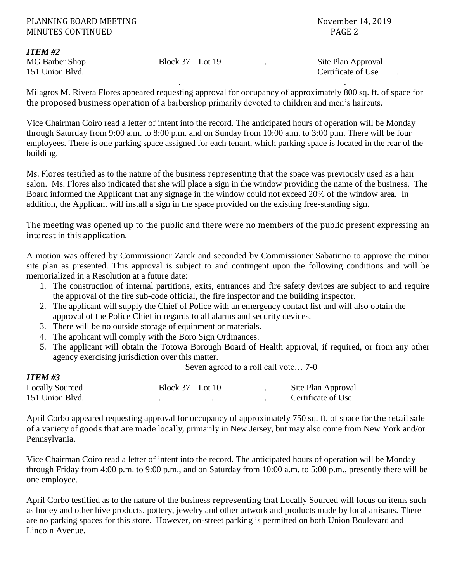#### PLANNING BOARD MEETING November 14, 2019 MINUTES CONTINUED **PAGE 2**

*ITEM #2*

*ITEM #3*

MG Barber Shop Block 37 – Lot 19 . Site Plan Approval 151 Union Blvd. Certificate of Use .

Milagros M. Rivera Flores appeared requesting approval for occupancy of approximately 800 sq. ft. of space for the proposed business operation of a barbershop primarily devoted to children and men's haircuts.

. .

Vice Chairman Coiro read a letter of intent into the record. The anticipated hours of operation will be Monday through Saturday from 9:00 a.m. to 8:00 p.m. and on Sunday from 10:00 a.m. to 3:00 p.m. There will be four employees. There is one parking space assigned for each tenant, which parking space is located in the rear of the building.

Ms. Flores testified as to the nature of the business representing that the space was previously used as a hair salon. Ms. Flores also indicated that she will place a sign in the window providing the name of the business. The Board informed the Applicant that any signage in the window could not exceed 20% of the window area. In addition, the Applicant will install a sign in the space provided on the existing free-standing sign.

The meeting was opened up to the public and there were no members of the public present expressing an interest in this application.

A motion was offered by Commissioner Zarek and seconded by Commissioner Sabatinno to approve the minor site plan as presented. This approval is subject to and contingent upon the following conditions and will be memorialized in a Resolution at a future date:

- 1. The construction of internal partitions, exits, entrances and fire safety devices are subject to and require the approval of the fire sub-code official, the fire inspector and the building inspector.
- 2. The applicant will supply the Chief of Police with an emergency contact list and will also obtain the approval of the Police Chief in regards to all alarms and security devices.
- 3. There will be no outside storage of equipment or materials.
- 4. The applicant will comply with the Boro Sign Ordinances.
- 5. The applicant will obtain the Totowa Borough Board of Health approval, if required, or from any other agency exercising jurisdiction over this matter.

Seven agreed to a roll call vote… 7-0

| 11 ем. тэ              |                     |  |                    |
|------------------------|---------------------|--|--------------------|
| <b>Locally Sourced</b> | Block $37 -$ Lot 10 |  | Site Plan Approval |
| 151 Union Blvd.        |                     |  | Certificate of Use |

April Corbo appeared requesting approval for occupancy of approximately 750 sq. ft. of space for the retail sale of a variety of goods that are made locally, primarily in New Jersey, but may also come from New York and/or Pennsylvania.

Vice Chairman Coiro read a letter of intent into the record. The anticipated hours of operation will be Monday through Friday from 4:00 p.m. to 9:00 p.m., and on Saturday from 10:00 a.m. to 5:00 p.m., presently there will be one employee.

April Corbo testified as to the nature of the business representing that Locally Sourced will focus on items such as honey and other hive products, pottery, jewelry and other artwork and products made by local artisans. There are no parking spaces for this store. However, on-street parking is permitted on both Union Boulevard and Lincoln Avenue.